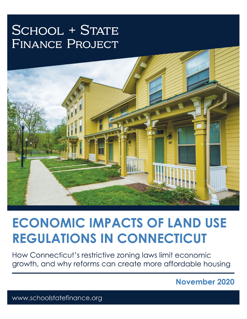## **SCHOOL + STATE FINANCE PROJECT**



# **ECONOMIC IMPACTS OF LAND USE REGULATIONS IN CONNECTICUT**

How Connecticut's restrictive zoning laws limit economic growth, and why reforms can create more affordable housing

November 2020

www.schoolstatefinance.org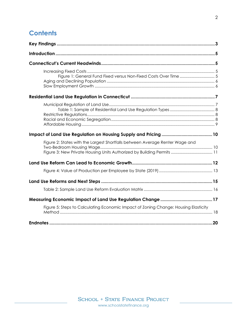## **Contents**

| Figure 1: General Fund Fixed versus Non-Fixed Costs Over Time  5                    |     |
|-------------------------------------------------------------------------------------|-----|
|                                                                                     |     |
|                                                                                     |     |
|                                                                                     |     |
| Figure 2: States with the Largest Shortfalls between Average Renter Wage and        |     |
|                                                                                     |     |
|                                                                                     |     |
|                                                                                     |     |
|                                                                                     |     |
|                                                                                     |     |
| Figure 5: Steps to Calculating Economic Impact of Zoning Change: Housing Elasticity |     |
|                                                                                     | .20 |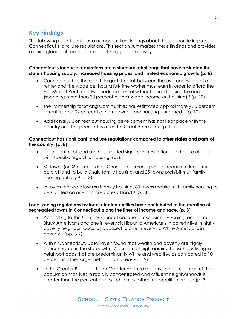## <span id="page-2-0"></span>**Key Findings**

The following report contains a number of key findings about the economic impacts of Connecticut's land use regulations. This section summarizes these findings and provides a quick glance at some of the report's biggest takeaways.

#### **Connecticut's land use regulations are a structural challenge that have restricted the state's housing supply, increased housing prices, and limited economic growth. [\(p. 5\)](#page-4-3)**

- Connecticut has the eighth largest shortfall between the average wage of a renter and the wage per hour a full-time worker must earn in order to afford the Fair Market Rent for a two-bedroom rental without being housing-burdened (spending more than 30 percent of their wage income on housing).[1](#page-19-1) [\(p. 10\)](#page-9-2)
- The Partnership for Strong Communities has estimated approximately 50 percent of renters and 32 percent of homeowners are housing-burdened.[2](#page-19-2) [\(p. 10\)](#page-9-3)
- Additionally, Connecticut housing development has not kept pace with the country or other peer states after the Great Recession. [\(p. 11\)](#page-10-1)

#### **Connecticut has significant land use regulations compared to other states and parts of the country. [\(p. 8\)](#page-7-3)**

- Local control of land use has created significant restrictions on the use of land with specific regard to housing. [\(p. 8\)](#page-7-4)
- 60 towns (or 36 percent of all Connecticut municipalities) require at least one acre of land to build single family housing, and 25 towns prohibit multifamily housing entirely.[3](#page-19-3) [\(p. 8\)](#page-7-5)
- In towns that do allow multifamily housing, 80 towns require multifamily housing to be situated on one or more acres of land.[4](#page-19-4) [\(p. 8\)](#page-7-6)

#### **Local zoning regulations by local elected entities have contributed to the creation of segregated towns in Connecticut along the lines of income and race. [\(p. 8\)](#page-7-7)**

- According to The Century Foundation, due to exclusionary zoning, one in four Black Americans and one in every six Hispanic Americans in poverty live in highpoverty neighborhoods, as opposed to one in every 13 White Americans in poverty.[5](#page-19-5) [\(pp. 8-9\)](#page-7-8)
- Within Connecticut, DataHaven found that wealth and poverty are highly concentrated in the state, with 27 percent of high-earning households living in neighborhoods that are predominantly White and wealthy, as compared to 10 percent in other large metropolitan areas.<sup>[6](#page-19-6)</sup> [\(p. 9\)](#page-8-1)
- In the Greater Bridgeport and Greater Hartford regions, the percentage of the population that lives in racially concentrated and affluent neighborhoods is greater than the percentage found in most other metropolitan areas.[7](#page-19-7) [\(p. 9\)](#page-8-2)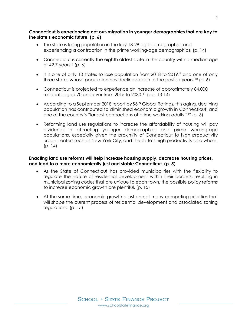#### **Connecticut is experiencing net out-migration in younger demographics that are key to the state's economic future. [\(p. 6\)](#page-5-2)**

- The state is losing population in the key 18-29 age demographic, and experiencing a contraction in the prime working-age demographics. [\(p. 14\)](#page-13-0)
- Connecticut is currently the eighth oldest state in the country with a median age of  $42.7$  years. $8$  [\(p. 6\)](#page-5-3)
- $\bullet$  It is one of only 10 states to lose population from 2018 to 201[9](#page-19-9), $\degree$  and one of only three states whose population has declined each of the past six years.<sup>[10](#page-19-10)</sup> [\(p. 6\)](#page-5-4)
- Connecticut is projected to experience an increase of approximately 84,000 residents aged 70 and over from 2015 to 2030.[11](#page-19-11) [\(pp. 13-14\)](#page-12-1)
- According to a September 2018 report by S&P Global Ratings, this aging, declining population has contributed to diminished economic growth in Connecticut, and one of the country's "largest contractions of prime working-adults."[12](#page-19-12) [\(p. 6\)](#page-5-5)
- Reforming land use regulations to increase the affordability of housing will pay dividends in attracting younger demographics and prime working-age populations, especially given the proximity of Connecticut to high productivity urban centers such as New York City, and the state's high productivity as a whole. (p. [14\)](#page-13-1)

#### **Enacting land use reforms will help increase housing supply, decrease housing prices, and lead to a more economically just and stable Connecticut. [\(p. 5\)](#page-4-4)**

- As the State of Connecticut has provided municipalities with the flexibility to regulate the nature of residential development within their borders, resulting in municipal zoning codes that are unique to each town, the possible policy reforms to increase economic growth are plentiful. [\(p. 15\)](#page-14-1)
- <span id="page-3-0"></span>• At the same time, economic growth is just one of many competing priorities that will shape the current process of residential development and associated zoning regulations. [\(p. 15\)](#page-14-2)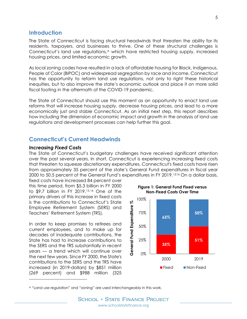## **Introduction**

<span id="page-4-3"></span>The State of Connecticut is facing structural headwinds that threaten the ability for its residents, taxpayers, and businesses to thrive. One of these structural challenges is Connecticut's land use regulations, [A](#page-4-5) which have restricted housing supply, increased housing prices, and limited economic growth.

As local zoning codes have resulted in a lack of affordable housing for Black, Indigenous, People of Color (BIPOC) and widespread segregation by race and income, Connecticut has the opportunity to reform land use regulations, not only to right these historical inequities, but to also improve the state's economic outlook and place it on more solid fiscal footing in the aftermath of the COVID-19 pandemic.

<span id="page-4-4"></span>The State of Connecticut should use this moment as an opportunity to enact land use reforms that will increase housing supply, decrease housing prices, and lead to a more economically just and stable Connecticut. As an initial next step, this report describes how including the dimension of economic impact and growth in the analysis of land use regulations and development processes can help further this goal.

#### <span id="page-4-0"></span>**Connecticut's Current Headwinds**

#### <span id="page-4-1"></span>*Increasing Fixed Costs*

I

The State of Connecticut's budgetary challenges have received significant attention over the past several years. In short, Connecticut is experiencing increasing fixed costs that threaten to squeeze discretionary expenditures. Connecticut's fixed costs have risen from approximately 35 percent of the state's General Fund expenditures in fiscal year 2000 to 50.5 percent of the General Fund's expenditures in FY 2019.[13](#page-19-13)[14](#page-19-14) On a dollar basis,

<span id="page-4-2"></span>fixed costs have increased 84 percent over this time period, from \$5.3 billion in FY 2000 to \$9.7 billion in FY 2019.[15](#page-19-15),[16](#page-19-16) One of the primary drivers of this increase in fixed costs is the contributions to Connecticut's State Employee Retirement System (SERS) and Teachers' Retirement System (TRS).

In order to keep promises to retirees and current employees, and to make up for decades of inadequate contributions, the State has had to increase contributions to the SERS and the TRS substantially in recent years — a trend which will continue over the next few years. Since FY 2000, the State's contributions to the SERS and the TRS have increased (in 2019-dollars) by \$851 million (269 percent) and \$988 million (325



<span id="page-4-5"></span><sup>A</sup> "Land use regulation" and "zoning" are used interchangeably in this work.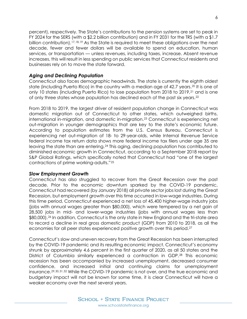percent), respectively. The State's contributions to the pension systems are set to peak in FY 2024 for the SERS (with a \$2.2 billion contribution) and in FY 2031 for the TRS (with a \$1.7 billion contribution).[17,](#page-19-17)[18](#page-19-18),[19](#page-19-19) As the State is required to meet these obligations over the next decade, fewer and fewer dollars will be available to spend on education, human services, or transportation — unless revenues, including taxes, increase. Absent revenue increases, this will result in less spending on public services that Connecticut residents and businesses rely on to move the state forward.

#### <span id="page-5-0"></span>*Aging and Declining Population*

<span id="page-5-4"></span><span id="page-5-3"></span>Connecticut also faces demographic headwinds. The state is currently the eighth oldest state (including Puerto Rico) in the country with a median age of 42.7 years.<sup>[20](#page-19-20)</sup> It is one of only 10 states (including Puerto Rico) to lose population from 2018 to 2019,[21](#page-19-21) and is one of only three states whose population has declined each of the past six years.[22](#page-20-0)

<span id="page-5-2"></span>From 2018 to 2019, the largest driver of resident population change in Connecticut was domestic migration out of Connecticut to other states, which outweighed births, international in-migration, and domestic in-migration.<sup>[23](#page-20-1)</sup> Connecticut is experiencing net out-migration in younger demographics that are key to the state's economic future. According to population estimates from the U.S. Census Bureau, Connecticut is experiencing net out-migration of 18- to 29-year-olds, while Internal Revenue Service federal income tax return data shows more federal income tax filers under age 35 are leaving the state than are entering.[24](#page-20-2) This aging, declining population has contributed to diminished economic growth in Connecticut, according to a September 2018 report by S&P Global Ratings, which specifically noted that Connecticut had "one of the largest contractions of prime working-adults."[25](#page-20-3)

#### <span id="page-5-5"></span><span id="page-5-1"></span>*Slow Employment Growth*

Connecticut has also struggled to recover from the Great Recession over the past decade. Prior to the economic downturn sparked by the COVID-19 pandemic, Connecticut had recovered (by January 2018) all private sector jobs lost during the Great Recession, but employment growth over this time occurred in low-wage industries. During this time period, Connecticut experienced a net loss of 45,400 higher-wage industry jobs (jobs with annual wages greater than \$80,000), which were tempered by a net gain of 28,500 jobs in mid- and lower-wage industries (jobs with annual wages less than \$80,000).<sup>[2](#page-20-4)6</sup> In addition, Connecticut is the only state in New England and the tri-state area to record a decline in real gross domestic product (GDP) from 2010 to 2018, as all the economies for all peer states experienced positive growth over this period.[27](#page-20-5)

Connecticut's slow and uneven recovery from the Great Recession has been interrupted by the COVID-19 pandemic and its resulting economic impact. Connecticut's economy shrunk by approximately 4.6 percent in the first quarter of 2020, as all 50 states and the District of Columbia similarly experienced a contraction in GDP.[28](#page-20-6) This economic recession has been accompanied by increased unemployment, decreased consumer confidence, and increased initial and continuing claims for unemployment insurance.[29,](#page-20-7)[30](#page-20-8),[31,](#page-20-9)[32](#page-20-10) While the COVID-19 pandemic is not over, and the true economic and budgetary impact will not be known for some time, it is clear Connecticut will have a weaker economy over the next several years.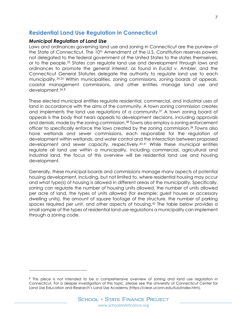## <span id="page-6-0"></span>**Residential Land Use Regulation in Connecticut**

#### <span id="page-6-1"></span>*Municipal Regulation of Land Use*

i<br>I

Laws and ordinances governing land use and zoning in Connecticut are the purview of the State of Connecticut. The 10<sup>th</sup> Amendment of the U.S. Constitution reserves powers not delegated to the federal government of the United States to the states themselves, or to the people[.33](#page-20-11) States can regulate land use and development through laws and ordinances to promote the general interest, as found in *Euclid v. Ambler*, and the Connecticut General Statutes delegate the authority to regulate land use to each municipality.[34,](#page-20-12)[35](#page-20-13) Within municipalities, zoning commissions, zoning boards of appeals, coastal management commissions, and other entities manage land use and development.[36](#page-20-14),[B](#page-6-2) 

These elected municipal entities regulate residential, commercial, and industrial uses of land in accordance with the aims of the community. A town zoning commission creates and implements the land use regulations of a community.<sup>[37](#page-20-15)</sup> A town zoning board of appeals is the body that hears appeals to development decisions, including approvals and denials, made by the zoning commission.[38](#page-20-16) Towns also employ a zoning enforcement officer to specifically enforce the laws created by the zoning commission.[39](#page-20-17) Towns also have wetlands and sewer commissions, each responsible for the regulation of development within wetlands, and water control and the interaction between proposed development and sewer capacity, respectively.[40](#page-20-18),[41](#page-20-19) While these municipal entities regulate all land use within a municipality, including commercial, agricultural and industrial land, the focus of this overview will be residential land use and housing development.

Generally, these municipal boards and commissions manage many aspects of potential housing development, including, but not limited to, where residential housing may occur and what type(s) of housing is allowed in different areas of the municipality. Specifically, zoning can regulate the number of housing units allowed, the number of units allowed per acre of land, the types of units allowed (for example: guest houses or accessory dwelling units), the amount of square footage of the structure, the number of parking spaces required per unit, and other aspects of housing.[42](#page-20-20) The table below provides a small sample of the types of residential land use regulations a municipality can implement through a zoning code.

<span id="page-6-2"></span>B This piece is not intended to be a comprehensive overview of zoning and land use regulation in Connecticut. For a deeper investigation of this topic, please see the University of Connecticut Center for Land Use Education and Research's Land Use Academy (https://clear.uconn.edu/lua/index.htm).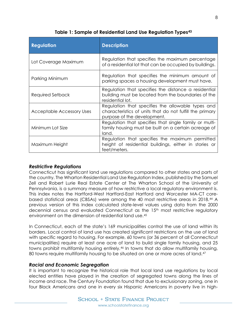<span id="page-7-0"></span>

| <b>Regulation</b>         | <b>Description</b>                                                                                                                           |  |  |
|---------------------------|----------------------------------------------------------------------------------------------------------------------------------------------|--|--|
| Lot Coverage Maximum      | Regulation that specifies the maximum percentage<br>of a residential lot that can be occupied by buildings.                                  |  |  |
| Parking Minimum           | Regulation that specifies the minimum amount of<br>parking spaces a housing development must have.                                           |  |  |
| Required Setback          | Regulation that specifies the distance a residential<br>building must be located from the boundaries of the<br>residential lot.              |  |  |
| Acceptable Accessory Uses | Regulation that specifies the allowable types and<br>characteristics of units that do not fulfill the primary<br>purpose of the development. |  |  |
| Minimum Lot Size          | Regulation that specifies that single family or multi-<br>family housing must be built on a certain acreage of<br>land.                      |  |  |
| Maximum Height            | Regulation that specifies the maximum permitted<br>height of residential buildings, either in stories or<br>feet/meters.                     |  |  |

**Table 1: Sample of Residential Land Use Regulation Types[43](#page-20-21)**

#### <span id="page-7-1"></span>*Restrictive Regulations*

<span id="page-7-3"></span>Connecticut has significant land use regulations compared to other states and parts of the country. The Wharton Residential Land Use Regulation Index, published by the Samuel Zell and Robert Lurie Real Estate Center at The Wharton School of the University of Pennsylvania, is a summary measure of how restrictive a local regulatory environment is. This index notes the Hartford-West Hartford-East Hartford and Worcester MA-CT corebased statistical areas (CBSAs) were among the 40 most restrictive areas in 2018.[4](#page-20-22)4 A previous version of this Index calculated state-level values using data from the 2000 decennial census and evaluated Connecticut as the 15<sup>th</sup> most restrictive regulatory environment on the dimension of residential land use.[45](#page-20-23)

<span id="page-7-5"></span><span id="page-7-4"></span>In Connecticut, each of the state's 169 municipalities control the use of land within its borders. Local control of land use has created significant restrictions on the use of land with specific regard to housing. For example, 60 towns (or 36 percent of all Connecticut municipalities) require at least one acre of land to build single family housing, and 25 towns prohibit multifamily housing entirely.[46](#page-20-24) In towns that do allow multifamily housing, 80 towns require multifamily housing to be situated on one or more acres of land.<sup>47</sup>

### <span id="page-7-6"></span><span id="page-7-2"></span>*Racial and Economic Segregation*

<span id="page-7-8"></span><span id="page-7-7"></span>It is important to recognize the historical role that local land use regulations by local elected entities have played in the creation of segregated towns along the lines of income and race. The Century Foundation found that due to exclusionary zoning, one in four Black Americans and one in every six Hispanic Americans in poverty live in high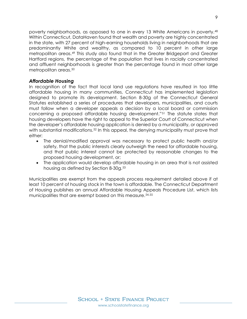<span id="page-8-2"></span><span id="page-8-1"></span>poverty neighborhoods, as opposed to one in every 13 White Americans in poverty.[4](#page-21-0)8 Within Connecticut, DataHaven found that wealth and poverty are highly concentrated in the state, with 27 percent of high-earning households living in neighborhoods that are predominantly White and wealthy, as compared to 10 percent in other large metropolitan areas.[49](#page-21-1) This study also found that in the Greater Bridgeport and Greater Hartford regions, the percentage of the population that lives in racially concentrated and affluent neighborhoods is greater than the percentage found in most other large metropolitan areas.[50](#page-21-2)

#### <span id="page-8-0"></span>*Affordable Housing*

In recognition of the fact that local land use regulations have resulted in too little affordable housing in many communities, Connecticut has implemented legislation designed to promote its development. Section 8-30g of the Connecticut General Statutes established a series of procedures that developers, municipalities, and courts must follow when a developer appeals a decision by a local board or commission concerning a proposed affordable housing development."[51](#page-21-3) The statute states that housing developers have the right to appeal to the Superior Court of Connecticut when the developer's affordable housing application is denied by a municipality, or approved with substantial modifications.<sup>[52](#page-21-4)</sup> In this appeal, the denying municipality must prove that either:

- The denial/modified approval was necessary to protect public health and/or safety, that the public interests clearly outweigh the need for affordable housing, and that public interest cannot be protected by reasonable changes to the proposed housing development, or;
- The application would develop affordable housing in an area that is not assisted housing as defined by Section 8-30g.<sup>[53](#page-21-5)</sup>

Municipalities are exempt from the appeals process requirement detailed above if at least 10 percent of housing stock in the town is affordable. The Connecticut Department of Housing publishes an annual Affordable Housing Appeals Procedure List, which lists municipalities that are exempt based on this measure. [54,](#page-21-6)[55](#page-21-7)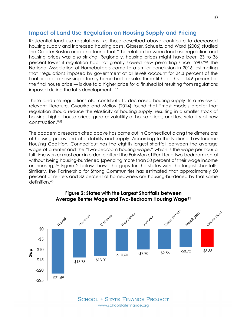## <span id="page-9-0"></span>**Impact of Land Use Regulation on Housing Supply and Pricing**

Residential land use regulations like those described above contribute to decreased housing supply and increased housing costs. Glaeser, Schuetz, and Ward (2006) studied the Greater Boston area and found that "The relation between land-use regulation and housing prices was also striking. Regionally, housing prices might have been 23 to 36 percent lower if regulation had not greatly slowed new permitting since 1990."[56](#page-21-8) The National Association of Homebuilders came to a similar conclusion in 2016, estimating that "regulations imposed by government at all levels account for 24.3 percent of the final price of a new single-family home built for sale. Three-fifths of this —14.6 percent of the final house price — is due to a higher price for a finished lot resulting from regulations imposed during the lot's development."[57](#page-21-9)

These land use regulations also contribute to decreased housing supply. In a review of relevant literature, Gyourko and Molloy (2014) found that "most models predict that regulation should reduce the elasticity of housing supply, resulting in a smaller stock of housing, higher house prices, greater volatility of house prices, and less volatility of new construction."[58](#page-21-10)

<span id="page-9-2"></span>The academic research cited above has borne out in Connecticut along the dimensions of housing prices and affordability and supply. According to the National Low Income Housing Coalition, Connecticut has the eighth largest shortfall between the average wage of a renter and the "two-bedroom housing wage," which is the wage per hour a full-time worker must earn in order to afford the Fair Market Rent for a two-bedroom rental without being housing-burdened (spending more than 30 percent of their wage income on housing).[59](#page-21-11) Figure 2 below shows the gaps for the states with the largest shortfalls. Similarly, the Partnership for Strong Communities has estimated that approximately 50 percent of renters and 32 percent of homeowners are housing-burdened by that same definition.<sup>[60](#page-21-12)</sup>

<span id="page-9-1"></span>

#### <span id="page-9-3"></span>**Figure 2: States with the Largest Shortfalls between Average Renter Wage and Two-Bedroom Housing Wage[61](#page-21-13)**

10

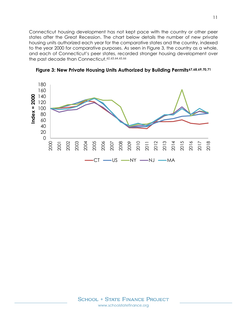<span id="page-10-1"></span>Connecticut housing development has not kept pace with the country or other peer states after the Great Recession. The chart below details the number of new private housing units authorized each year for the comparative states and the country, indexed to the year 2000 for comparative purposes. As seen in Figure 3, the country as a whole, and each of Connecticut's peer states, recorded stronger housing development over the past decade than Connecticut. [62](#page-21-14),[63](#page-21-15),[64,](#page-21-16)[65,](#page-21-17)[66](#page-21-18)



<span id="page-10-0"></span>**Figure 3: New Private Housing Units Authorized by Building Permits[67,](#page-21-19)[68](#page-21-20),[69,](#page-21-21)[70,](#page-21-22)[71](#page-21-23)**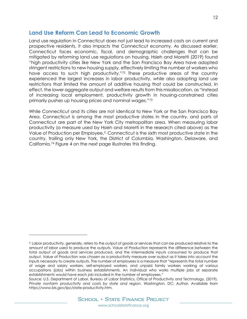## <span id="page-11-0"></span>**Land Use Reform Can Lead to Economic Growth**

Land use regulation in Connecticut does not just lead to increased costs on current and prospective residents, it also impacts the Connecticut economy. As discussed earlier, Connecticut faces economic, fiscal, and demographic challenges that can be mitigated by reforming land use regulations on housing. Hsieh and Moretti (2019) found "high productivity cities like New York and the San Francisco Bay Area have adopted stringent restrictions to new housing supply, effectively limiting the number of workers who have access to such high productivity."[72](#page-21-24) These productive areas of the country experienced the largest increases in labor productivity, while also adopting land use restrictions that limited the amount of additive housing that could be constructed. In effect, the lower aggregate output and welfare results from this misallocation, as "instead of increasing local employment, productivity growth in housing-constrained cities primarily pushes up housing prices and nominal wages."[73](#page-21-25)

While Connecticut and its cities are not identical to New York or the San Francisco Bay Area, Connecticut is among the most productive states in the country, and parts of Connecticut are part of the New York City metropolitan area. When measuring labor productivity (a measure used by Hsieh and Moretti in the research cited above) as the Value of Production per Employee, $C$  Connecticut is the sixth most productive state in the country, trailing only New York, the District of Columbia, Washington, Delaware, and California.[74](#page-21-26) Figure 4 on the next page illustrates this finding.

i<br>I

<span id="page-11-1"></span><sup>C</sup> Labor productivity, generally, refers to the output of goods or services that can be produced relative to the amount of labor used to produce the outputs. Value of Production represents the difference between the total output of goods and services produced, and the intermediate inputs consumed to produce that output. Value of Production was chosen as a productivity measure over output as it takes into account the inputs necessary to create outputs. The number of employees is a measure that "represents the total number of wage and salary workers, self-employed workers, and unpaid family workers working at various occupations (jobs) within business establishments. An individual who works multiple jobs at separate establishments would have each job included in the number of employees."

Source: U.S. Department of Labor, Bureau of Labor Statistics, Office of Productivity and Technology. (2019). *Private nonfarm productivity and costs by state and region*. Washington, DC: Author. Available from https://www.bls.gov/lpc/state-productivity.htm.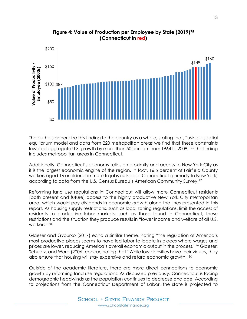<span id="page-12-0"></span>

**Figure 4: Value of Production per Employee by State (2019)[75](#page-21-27) (Connecticut in red)** 

The authors generalize this finding to the country as a whole, stating that, "using a spatial equilibrium model and data from 220 metropolitan areas we find that these constraints lowered aggregate U.S. growth by more than 50 percent from 1964 to 2009."[76](#page-22-0) This finding includes metropolitan areas in Connecticut.

Additionally, Connecticut's economy relies on proximity and access to New York City as it is the largest economic engine of the region. In fact, 16.5 percent of Fairfield County workers aged 16 or older commute to jobs outside of Connecticut (primarily to New York) according to data from the U.S. Census Bureau's American Community Survey.[77](#page-22-1) 

Reforming land use regulations in Connecticut will allow more Connecticut residents (both present and future) access to the highly productive New York City metropolitan area, which would pay dividends in economic growth along the lines presented in this report. As housing supply restrictions, such as local zoning regulations, limit the access of residents to productive labor markets, such as those found in Connecticut, these restrictions and the situation they produce results in "lower income and welfare of all U.S. workers."[78](#page-22-2)

Glaeser and Gyourko (2017) echo a similar theme, noting "the regulation of America's most productive places seems to have led labor to locate in places where wages and prices are lower, reducing America's overall economic output in the process."[79](#page-22-3) Glaeser, Schuetz, and Ward (2006) concur, noting that "While low densities have their virtues, they also ensure that housing will stay expensive and retard economic growth."[80](#page-22-4)

<span id="page-12-1"></span>Outside of the academic literature, there are more direct connections to economic growth by reforming land use regulations. As discussed previously, Connecticut is facing demographic headwinds as the population continues to decrease and age. According to projections from the Connecticut Department of Labor, the state is projected to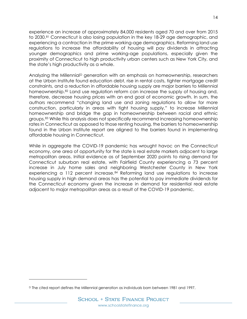<span id="page-13-1"></span><span id="page-13-0"></span>experience an increase of approximately 84,000 residents aged 70 and over from 2015 to 2030.<sup>[8](#page-22-5)1</sup> Connecticut is also losing population in the key 18-29 age demographic, and experiencing a contraction in the prime working-age demographics. Reforming land use regulations to increase the affordability of housing will pay dividends in attracting younger demographics and prime working-age populations, especially given the proximity of Connecticut to high productivity urban centers such as New York City, and the state's high productivity as a whole.

Analyzing the Millennial<sup>[D](#page-13-2)</sup> generation with an emphasis on homeownership, researchers at the Urban Institute found education debt, rise in rental costs, tighter mortgage credit constraints, and a reduction in affordable housing supply are major barriers to Millennial homeownership.<sup>82</sup> Land use regulation reform can increase the supply of housing and, therefore, decrease housing prices with an end goal of economic growth. In sum, the authors recommend "changing land use and zoning regulations to allow for more construction, particularly in areas with tight housing supply," to increase Millennial homeownership and bridge the gap in homeownership between racial and ethnic groups.[83](#page-22-7) While this analysis does not specifically recommend increasing homeownership rates in Connecticut as opposed to those renting housing, the barriers to homeownership found in the Urban Institute report are aligned to the barriers found in implementing affordable housing in Connecticut.

While in aggregate the COVID-19 pandemic has wrought havoc on the Connecticut economy, one area of opportunity for the state is real estate markets adjacent to large metropolitan areas. Initial evidence as of September 2020 points to rising demand for Connecticut suburban real estate, with Fairfield County experiencing a 73 percent increase in July home sales and neighboring Westchester County in New York experiencing a 112 percent increase.<sup>[84](#page-22-8)</sup> Reforming land use regulations to increase housing supply in high demand areas has the potential to pay immediate dividends for the Connecticut economy given the increase in demand for residential real estate adjacent to major metropolitan areas as a result of the COVID-19 pandemic.

I

<span id="page-13-2"></span>D The cited report defines the Millennial generation as individuals born between 1981 and 1997.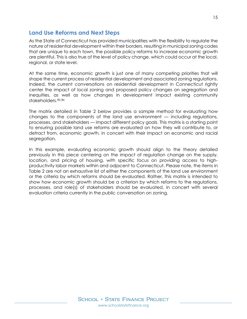## <span id="page-14-0"></span>**Land Use Reforms and Next Steps**

<span id="page-14-1"></span>As the State of Connecticut has provided municipalities with the flexibility to regulate the nature of residential development within their borders, resulting in municipal zoning codes that are unique to each town, the possible policy reforms to increase economic growth are plentiful. This is also true of the level of policy change, which could occur at the local, regional, or state level.

<span id="page-14-2"></span>At the same time, economic growth is just one of many competing priorities that will shape the current process of residential development and associated zoning regulations. Indeed, the current conversations on residential development in Connecticut rightly center the impact of local zoning and proposed policy changes on segregation and inequities, as well as how changes in development impact existing community stakeholders.[85,](#page-22-9)[86](#page-22-10)

The matrix detailed in Table 2 below provides a sample method for evaluating how changes to the components of the land use environment — including regulations, processes, and stakeholders — impact different policy goals. This matrix is a starting point to ensuring possible land use reforms are evaluated on how they will contribute to, or detract from, economic growth, in concert with their impact on economic and racial segregation.

In this example, evaluating economic growth should align to the theory detailed previously in this piece centering on the impact of regulation change on the supply, location, and pricing of housing, with specific focus on providing access to highproductivity labor markets within and adjacent to Connecticut. Please note, the items in Table 2 are not an exhaustive list of either the components of the land use environment or the criteria by which reforms should be evaluated. Rather, this matrix is intended to show how economic growth should be a criterion by which reforms to the regulations, processes, and role(s) of stakeholders should be evaluated, in concert with several evaluation criteria currently in the public conversation on zoning.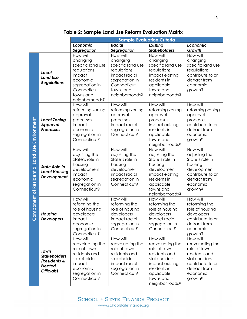<span id="page-15-0"></span>

|                                                             |                                                                             | <b>Sample Evaluation Criteria</b>                                                                                                              |                                                                                                                                           |                                                                                                                                                               |                                                                                                                                          |  |
|-------------------------------------------------------------|-----------------------------------------------------------------------------|------------------------------------------------------------------------------------------------------------------------------------------------|-------------------------------------------------------------------------------------------------------------------------------------------|---------------------------------------------------------------------------------------------------------------------------------------------------------------|------------------------------------------------------------------------------------------------------------------------------------------|--|
|                                                             |                                                                             | Economic                                                                                                                                       | <b>Racial</b>                                                                                                                             | Existing                                                                                                                                                      | Economic                                                                                                                                 |  |
|                                                             |                                                                             | Segregation                                                                                                                                    | Segregation                                                                                                                               | <b>Stakeholders</b>                                                                                                                                           | Growth                                                                                                                                   |  |
| omponent of Residential Land Use Environment<br>$\tilde{O}$ | Local<br><b>Land Use</b><br><b>Regulations</b>                              | How will<br>changing<br>specific land use<br>regulations<br>impact<br>economic<br>segregation in<br>Connecticut<br>towns and<br>neighborhoods? | How will<br>changing<br>specific land use<br>regulations<br>impact racial<br>segregation in<br>Connecticut<br>towns and<br>neighborhoods? | How will<br>changing<br>specific land use<br>regulations<br>impact existing<br>residents in<br>applicable<br>towns and<br>neighborhoods?                      | How will<br>changing<br>specific land use<br>regulations<br>contribute to or<br>detract from<br>economic<br>growth?                      |  |
|                                                             | <b>Local Zoning</b><br>Approval<br><b>Processes</b>                         | How will<br>reforming zoning<br>approval<br>processes<br>impact<br>economic<br>segregation in<br>Connecticut?                                  | How will<br>reforming zoning<br>approval<br>processes<br>impact racial<br>segregation in<br>Connecticut?                                  | How will<br>reforming zoning<br>approval<br>processes<br>impact existing<br>residents in<br>applicable<br>towns and<br>neighborhoods?                         | How will<br>reforming zoning<br>approval<br>processes<br>contribute to or<br>detract from<br>economic<br>growth?                         |  |
|                                                             | <b>State Role in</b><br><b>Local Housing</b><br>Development                 | How will<br>adjusting the<br>State's role in<br>housing<br>development<br>impact<br>economic<br>segregation in<br>Connecticut?                 | How will<br>adjusting the<br>State's role in<br>housing<br>development<br>impact racial<br>segregation in<br>Connecticut?                 | How will<br>adjusting the<br>State's role in<br>housing<br>development<br>impact existing<br>residents in<br>applicable<br>towns and<br>neighborhoods?        | How will<br>adjusting the<br>State's role in<br>housing<br>development<br>contribute to or<br>detract from<br>economic<br>growth?        |  |
|                                                             | Housing<br><b>Developers</b>                                                | How will<br>reforming the<br>role of housing<br>developers<br>impact<br>economic<br>segregation in<br>Connecticut?                             | How will<br>reforming the<br>role of housing<br>developers<br>impact racial<br>segregation in<br>Connecticut?                             | How will<br>reforming the<br>role of housing<br>developers<br>impact racial<br>segregation in<br>Connecticut?                                                 | How will<br>reforming the<br>role of housing<br>developers<br>contribute to or<br>detract from<br>economic<br>growth?                    |  |
|                                                             | Town<br><b>Stakeholders</b><br>(Residents &<br><b>Elected</b><br>Officials) | How will<br>reevaluating the<br>role of town<br>residents and<br>stakeholders<br>impact<br>economic<br>segregation in<br>Connecticut?          | How will<br>reevaluating the<br>role of town<br>residents and<br>stakeholders<br>impact racial<br>segregation in<br>Connecticut?          | How will<br>reevaluating the<br>role of town<br>residents and<br>stakeholders<br>impact existing<br>residents in<br>applicable<br>towns and<br>neighborhoods? | How will<br>reevaluating the<br>role of town<br>residents and<br>stakeholders<br>contribute to or<br>detract from<br>economic<br>growth? |  |

**Table 2: Sample Land Use Reform Evaluation Matrix**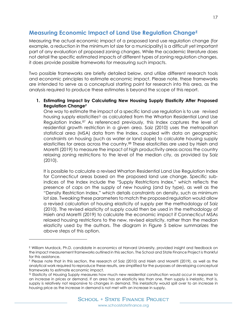## <span id="page-16-0"></span>**Measuring Economic Impact of Land Use Regulation Change[E](#page-16-1)**

Measuring the actual economic impact of a proposed land use regulation change (for example, a reduction in the minimum lot size for a municipality) is a difficult yet important part of any evaluation of proposed zoning changes. While the academic literature does not detail the specific estimated impacts of different types of zoning regulation changes, it does provide possible frameworks for measuring such impacts.

Two possible frameworks are briefly detailed below, and utilize different research tools and economic principles to estimate economic impact. Please note, these frameworks are intended to serve as a conceptual starting point for research into this area, as the analysis required to produce these estimates is beyond the scope of this report.

#### **1. Estimating Impact by Calculating New Housing Supply Elasticity After Proposed Regulation Change[F](#page-16-2)**

One way to estimate the impact of a specific land use regulation is to use revised housing supply elasticities<sup>[G](#page-16-3)</sup> as calculated from the Wharton Residential Land Use Regulation Index.[87](#page-22-11) As referenced previously, this Index captures the level of residential growth restriction in a given area. Saiz (2010) uses the metropolitan statistical area (MSA) data from the Index, coupled with data on geographic constraints on housing (such as water or land slope) to calculate housing supply elasticities for areas across the country.[88](#page-22-12) These elasticities are used by Hsieh and Moretti (2019) to measure the impact of high productivity areas across the country relaxing zoning restrictions to the level of the median city, as provided by Saiz (2010).

It is possible to calculate a revised Wharton Residential Land Use Regulation Index for Connecticut areas based on the proposed land use change. Specific subindices of the Index include the "Supply Restrictions Index," which reflects the presence of caps on the supply of new housing (and by type), as well as the "Density Restriction Index," which details constraints on density, such as minimum lot size. Tweaking these parameters to match the proposed regulation would allow a revised calculation of housing elasticity of supply per the methodology of Saiz (2010). The revised elasticity of supply could then be used in the methodology of Hsieh and Moretti (2019) to calculate the economic impact if Connecticut MSAs relaxed housing restrictions to the new, revised elasticity, rather than the median elasticity used by the authors. The diagram in Figure 5 below summarizes the above steps of this option.

i<br>I

<span id="page-16-1"></span><sup>E</sup> William Murdock, Ph.D. candidate in economics at Harvard University, provided insight and feedback on the impact measurement frameworks outlined in this section. The School and State Finance Project is thankful for this assistance.

<span id="page-16-2"></span><sup>F</sup> Please note that in this section, the research of Saiz (2010) and Hsieh and Moretti (2019), as well as the analytical work required to reproduce these results, are simplified for the purposes of developing conceptual frameworks to estimate economic impact.

<span id="page-16-3"></span><sup>G</sup> Elasticity of Housing Supply measures how much new residential construction would occur in response to an increase in prices or demand. If an area has an elasticity less than one, then supply is inelastic, that is, supply is relatively not responsive to changes in demand. This inelasticity would spill over to an increase in housing price as the increase in demand is not met with an increase in supply.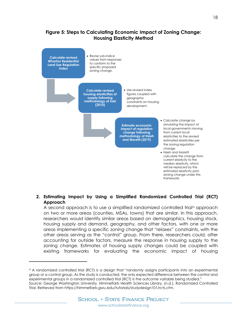## **Figure 5: Steps to Calculating Economic Impact of Zoning Change: Housing Elasticity Method**

<span id="page-17-0"></span>

#### **2. Estimating Impact by Using a Simplified Randomized Controlled Trial (RCT) Approach**

A second approach is to use a simplified randomized controlled trial<sup>H</sup> approach on two or more areas (counties, MSAs, towns) that are similar. In this approach, researchers would identify similar areas based on demographics, housing stock, housing supply and demand, geography, and other factors, with one or more areas implementing a specific zoning change that "relaxes" constraints, with the other areas serving as the "control" group. From there, researchers could, after accounting for outside factors, measure the response in housing supply to the zoning change. Estimates of housing supply changes could be coupled with existing frameworks for evaluating the economic impact of housing

i<br>I

<span id="page-17-1"></span><sup>H</sup> A randomized controlled trial (RCT) is a design that "randomly assigns participants into an experimental group or a control group. As the study is conducted, the only expected difference between the control and experimental groups in a randomized controlled trial (RCT) is the outcome variable being studied." Source: George Washington University, Himmelfarb Health Sciences Library. (n.d.). Randomized Controlled Tria*l*. Retrieved from https://himmelfarb.gwu.edu/tutorials/studydesign101/rcts.cfm.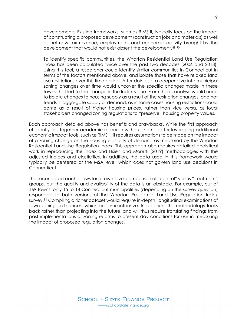developments. Existing frameworks, such as RIMS II, typically focus on the impact of constructing a proposed development (construction jobs and materials) as well as net-new tax revenue, employment, and economic activity brought by the development that would not exist absent the development.[89](#page-22-13),[90](#page-22-14)

To identify specific communities, the Wharton Residential Land Use Regulation Index has been calculated twice over the past two decades (2006 and 2018). Using this tool, a researcher could identify similar communities in Connecticut in terms of the factors mentioned above, and isolate those that have relaxed land use restrictions over this time period. After doing so, a deeper dive into municipal zoning changes over time would uncover the specific changes made in these towns that led to the change in the Index value. From there, analysis would need to isolate changes to housing supply as a result of the restriction changes, and not trends in aggregate supply or demand, as in some cases housing restrictions could come as a result of higher housing prices, rather than vice versa, as local stakeholders changed zoning regulations to "preserve" housing property values.

Each approach detailed above has benefits and drawbacks. While the first approach efficiently ties together academic research without the need for leveraging additional economic impact tools, such as RIMS II, it requires assumptions to be made on the impact of a zoning change on the housing elasticity of demand as measured by the Wharton Residential Land Use Regulation Index. This approach also requires detailed analytical work in reproducing the Index and Hsieh and Moretti (2019) methodologies with the adjusted indices and elasticities. In addition, the data used in this framework would typically be centered at the MSA level, which does not govern land use decisions in Connecticut.

The second approach allows for a town-level comparison of "control" versus "treatment" groups, but the quality and availability of the data is an obstacle. For example, out of 169 towns, only 15 to 18 Connecticut municipalities (depending on the survey question) responded to both versions of the Wharton Residential Land Use Regulation Index survey.[91](#page-22-15) Compiling a richer dataset would require in-depth, longitudinal examinations of town zoning ordinances, which are time-intensive. In addition, this methodology looks back rather than projecting into the future, and will thus require translating findings from past implementations of zoning reforms to present day conditions for use in measuring the impact of proposed regulation changes.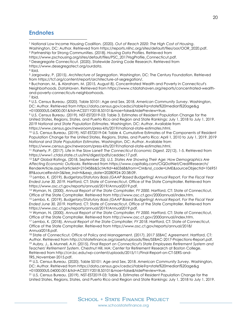## <span id="page-19-0"></span>**Endnotes**

<span id="page-19-9"></span><span id="page-19-8"></span><span id="page-19-7"></span><span id="page-19-6"></span><span id="page-19-5"></span><span id="page-19-4"></span><span id="page-19-3"></span><span id="page-19-2"></span><span id="page-19-1"></span><sup>1</sup> National Low Income Housing Coalition. (2020). *Out of Reach 2020: The High Cost of Housing*. Washington, DC: Author. Retrieved from https://reports.nlihc.org/sites/default/files/oor/OOR\_2020.pdf. <sup>2</sup> Partnership for Strong Communities. (2018). *Housing Data Profiles*. Retrieved from https://www.pschousing.org/sites/default/files/PSC\_2017HsgProfile\_Connecticut.pdf. <sup>3</sup> Desegregate Connecticut. (2020). Statewide Zoning Code Research. Retrieved from https://www.desegregatect.org/ourdata. <sup>4</sup> Ibid. <sup>5</sup> Jargowsky, P. (2015). *Architecture of Segregation*. Washington, DC: The Century Foundation. Retrieved from https://tcf.org/content/report/architecture-of-segregation/. <sup>6</sup> Buchanan, M., & Abraham, M. (2015, August 8). Concentrated Wealth and Poverty in Connecticut's Neighborhoods. *DataHaven*. Retrieved from https://www.ctdatahaven.org/reports/concentrated-wealthand-poverty-connecticuts-neighborhoods. <sup>7</sup> Ibid. <sup>8</sup> U.S. Census Bureau. (2020). Table S0101: Age and Sex, 2018. *American Community Survey*. Washington, DC: Author. Retrieved from https://data.census.gov/cedsci/table?q=state%20median%20age&g =0100000US.04000.001&tid=ACSST1Y2018.S0101&moe=false&hidePreview=true. <sup>9</sup> U.S. Census Bureau. (2019). NST-EST2019-03: Table 3. Estimates of Resident Population Change for the United States, Regions, States, and Puerto Rico and Region and State Rankings: July 1, 2018 to July 1, 2019. *2019 National and State Population Estimates*. Washington, DC: Author. Available from https://www.census.gov/newsroom/press-kits/2019/national-state-estimates.html. <sup>10</sup> U.S. Census Bureau. (2019). NST-EST2019-04: Table 4. Cumulative Estimates of the Components of Resident Population Change for the United States, Regions, States, and Puerto Rico: April 1, 2010 to July 1, 2019. *2019 National and State Population Estimates*. Washington, DC: Author. Available from https://www.census.gov/newsroom/press-kits/2019/national-state-estimates.html. <sup>11</sup> Flaherty, P. (2017). Life in the Slow Lane? *The Connecticut Economic Digest, 22*(12), 1-5. Retrieved from https://www1.ctdol.state.ct.us/lmi/digest/pdfs/ceddec17.pdf. <sup>12</sup> S&P Global Ratings. (2018, September 25*). U.S. States Are Showing Their Age: How Demographics Are Affecting Economic Outlooks*. Retrieved from https://www.capitaliq.com/CIQDotNet/CreditResearch/ RenderArticle.aspx?articleId=2104586&SctArtId=460368&from=CM&nsl\_code=LIME&sourceObjectId=106951 89&sourceRevId=3&fee\_ind=N&exp\_date=20280924-20:38:09. <sup>13</sup> Lembo, K. (2019). *Budgetary/Statutory Basis (GAAP Based Budgeting) Annual Report, For the Fiscal Year Ended June 30, 2019*. Hartford, CT: State of Connecticut, Office of the State Comptroller. Retrieved from https://www.osc.ct.gov/reports/annual/2019/Annual2019.pdf. <sup>14</sup> Wyman, N. (2000). *Annual Report of the State Comptroller, FY 2000*. Hartford, CT: State of Connecticut, Office of the State Comptroller. Retrieved from http://www.osc.ct.gov/2000annual/index.htm. <sup>15</sup> Lembo, K. (2019). *Budgetary/Statutory Basis (GAAP Based Budgeting) Annual Report, For the Fiscal Year Ended June 30, 2019*. Hartford, CT: State of Connecticut, Office of the State Comptroller. Retrieved from https://www.osc.ct.gov/reports/annual/2019/Annual2019.pdf. j

<span id="page-19-16"></span><span id="page-19-15"></span><span id="page-19-14"></span><span id="page-19-13"></span><span id="page-19-12"></span><span id="page-19-11"></span><span id="page-19-10"></span><sup>16</sup> Wyman, N. (2000). *Annual Report of the State Comptroller, FY 2000*. Hartford, CT: State of Connecticut, Office of the State Comptroller. Retrieved from http://www.osc.ct.gov/2000annual/index.htm.

<span id="page-19-17"></span><sup>17</sup> Lembo, K. (2018). *Annual Report of the State Comptroller, FY 2018*. Hartford, CT: State of Connecticut, Office of the State Comptroller. Retrieved from https://www.osc.ct.gov/reports/annual/2018/ Annual2018.pdf.

<span id="page-19-19"></span><span id="page-19-18"></span><sup>18</sup> State of Connecticut, Office of Policy and Management. (2017). *2017 SEBAC Agreement*. Hartford, CT: Author. Retrieved from http://ctstatefinance.org/assets/uploads/files/SEBAC-2017-Projections-Report.pd[f.](https://public.tableau.com/views/7_SERS-4of4/) <sup>19</sup> Aubry, J., & Munnell, A.H. (2015). *Final Report on Connecticut's State Employees Retirement System and Teachers' Retirement System*. Chestnut Hill, MA: Center for Retirement Research at Boston College. Retrieved from http://crr.bc.edu/wp-content/uploads/2015/11/Final-Report-on-CT-SERS-and-TRS\_November-2015.pdf.

<span id="page-19-20"></span><sup>20</sup> U.S. Census Bureau. (2020). Table S0101: Age and Sex, 2018. *American Community Survey*. Washington, DC: Author. Retrieved from https://data.census.gov/cedsci/table?q=state%20median%20age&g<br>=0100000US.04000.001&tid=ACSST1Y2018.S0101&moe=false&hidePreview=true.

<span id="page-19-21"></span><sup>21</sup> U.S. Census Bureau. (2019). NST-EST2019-03: Table 3. Estimates of Resident Population Change for the United States, Regions, States, and Puerto Rico and Region and State Rankings: July 1, 2018 to July 1, 2019.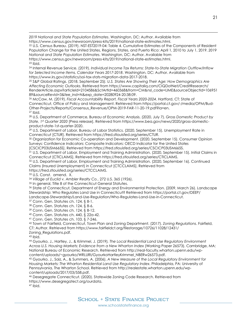*2019 National and State Population Estimates*. Washington, DC: Author. Available from https://www.census.gov/newsroom/press-kits/2019/national-state-estimates.html.

<span id="page-20-0"></span><sup>22</sup> U.S. Census Bureau. (2019). NST-EST2019-04: Table 4. Cumulative Estimates of the Components of Resident Population Change for the United States, Regions, States, and Puerto Rico: April 1, 2010 to July 1, 2019. *2019 National and State Population Estimates*. Washington, DC: Author. Available from https://www.census.gov/newsroom/press-kits/2019/national-state-estimates.html.  $23$  Ibid.

<span id="page-20-2"></span><span id="page-20-1"></span><sup>24</sup> Internal Revenue Service. (2019). *Individual Income Tax Returns: State-to-State Migration Outflow/Inflow for Selected Income Items, Calendar Years 2017-2018*. Washington, DC: Author. Available from https://www.irs.gov/statistics/soi-tax-stats-migration-data-2017-2018.

<span id="page-20-3"></span><sup>25</sup> S&P Global Ratings. (2018, September 25*). U.S. States Are Showing Their Age: How Demographics Are Affecting Economic Outlooks*. Retrieved from https://www.capitaliq.com/CIQDotNet/CreditResearch/ RenderArticle.aspx?articleId=2104586&SctArtId=460368&from=CM&nsl\_code=LIME&sourceObjectId=106951 89&sourceRevId=3&fee\_ind=N&exp\_date=20280924-20:38:09.

<span id="page-20-4"></span><sup>26</sup> McCaw, M. (2019). *Fiscal Accountability Report, Fiscal Years 2020-2024*. Hartford, CT: State of Connecticut, Office of Policy and Management. Retrieved from https://portal.ct.gov/-/media/OPM/Bud-Other-Projects/Reports/Consensus\_Revenue/OPM-2019-FAR-11-20-19.pdf?la=en.  $27$  Ibid.

<span id="page-20-6"></span><span id="page-20-5"></span>28 U.S. Department of Commerce, Bureau of Economic Analysis. (2020, July 7). *Gross Domestic Product by State, 1st Quarter 2020* [Press release]. Retrieved from https://www.bea.gov/news/2020/gross-domesticproduct-state-1st-quarter-2020.

<span id="page-20-7"></span><sup>29</sup> U.S. Department of Labor, Bureau of Labor Statistics. (2020, September 15). Unemployment Rate in Connecticut [CTUR]. Retrieved from https://fred.stlouisfed.org/series/CTUR. 30 Organization for Economic Co-operation and Development. (2020, September 15). Consumer Opinion

<span id="page-20-8"></span>Surveys: Confidence Indicators: Composite Indicators: OECD Indicator for the United States

[CSCICP03USM665S]. Retrieved from https://fred.stlouisfed.org/series/CSCICP03USM665S.

<span id="page-20-9"></span><sup>31</sup> U.S. Department of Labor, Employment and Training Administration. (2020, September 15). Initial Claims in Connecticut [CTICLAIMS]. Retrieved from https://fred.stlouisfed.org/series/CTICLAIMS.

<span id="page-20-10"></span><sup>32</sup> U.S. Department of Labor, Employment and Training Administration. (2020, September 16). Continued Claims (Insured Unemployment) in Connecticut [CTCCLAIMS]. Retrieved from

https://fred.stlouisfed.org/series/CTCCLAIMS.

<span id="page-20-11"></span><sup>33</sup> U.S. Const. amend. X.

<span id="page-20-12"></span><sup>34</sup> *Village of Euclid v. Ambler Realty Co.*, 272 U.S. 365 (1926).

<span id="page-20-13"></span><sup>35</sup> In general, Title 8 of the Connecticut General Statutes.

<span id="page-20-14"></span><sup>36</sup> State of Connecticut, Department of Energy and Environmental Protection. (2009, March 26). Landscape Stewardship: Who Regulates Land Use in Connecticut? Retrieved from https://portal.ct.gov/DEEP/ Landscape-Stewardship/Land-Use-Regulation/Who-Regulates-Land-Use-in-Connecticut.

<span id="page-20-15"></span><sup>37</sup> Conn. Gen. Statutes ch. 124, § 8-1.

<span id="page-20-16"></span><sup>38</sup> Conn. Gen. Statutes ch. 124, § 8-6.

<span id="page-20-17"></span><sup>39</sup> Conn. Gen. Statutes ch. 124, § 8-12.

<sup>40</sup> Conn. Gen. Statutes ch. 440, § 22a-42.

<span id="page-20-19"></span><span id="page-20-18"></span><sup>41</sup> Conn. Gen. Statutes ch. 103, § 7-246.

<span id="page-20-20"></span><sup>42</sup> Town of Fairfield, Connecticut, Town Plan and Zoning Department. (2017). *Zoning Regulations*. Fairfield, CT: Author. Retrieved from https://www.fairfieldct.org/filestorage/10726/11028/12431/ Zoning\_Regulations.pdf.

<span id="page-20-21"></span> $43$  Ibid.

<span id="page-20-22"></span><sup>44</sup> Gyourko, J., Hartley, J., & Krimmel, J. (2019)*. The Local Residential Land Use Regulatory Environment Across U.S. Housing Markets: Evidence from a New Wharton Index* (Working Paper 26573). Cambridge, MA: National Bureau of Economic Research. Retrieved from http://real-faculty.wharton.upenn.edu/wpcontent/uploads/~gyourko/WRLURI/GyourkoHartleyKrimmel\_NBERw26573.pdf.

<span id="page-20-23"></span><sup>45</sup> Gyourko, J., Saiz, A., & Summers, A. (2006). *A New Measure of the Local Regulatory Environment for Housing Markets: The Wharton Residential Land Use Regulatory Index*. Philadelphia, PA: University of Pennsylvania, The Wharton School. Retrieved from http://realestate.wharton.upenn.edu/wpcontent/uploads/2017/03/558.pdf.

<span id="page-20-24"></span><sup>46</sup> Desegregate Connecticut. (2020). Statewide Zoning Code Research. Retrieved from https://www.desegregatect.org/ourdata.

<span id="page-20-25"></span><sup>47</sup> Ibid.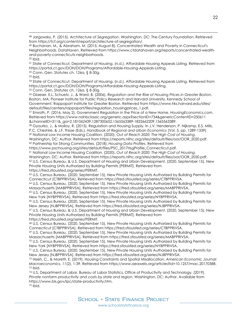<span id="page-21-0"></span> <sup>48</sup> Jargowsky, P. (2015). *Architecture of Segregation*. Washington, DC: The Century Foundation. Retrieved from https://tcf.org/content/report/architecture-of-segregation/.

<span id="page-21-1"></span><sup>49</sup> Buchanan, M., & Abraham, M. (2015, August 8). Concentrated Wealth and Poverty in Connecticut's Neighborhoods. *DataHaven*. Retrieved from https://www.ctdatahaven.org/reports/concentrated-wealthand-poverty-connecticuts-neighborhoods.  $50$  Ibid.

<span id="page-21-3"></span><span id="page-21-2"></span><sup>51</sup> State of Connecticut, Department of Housing. (n.d.). Affordable Housing Appeals Listing. Retrieved from https://portal.ct.gov/DOH/DOH/Programs/Affordable-Housing-Appeals-Listing.

<span id="page-21-4"></span><sup>52</sup> Conn. Gen. Statutes ch. 126a, § 8-30g.

<span id="page-21-5"></span><sup>53</sup> Ibid.

<span id="page-21-6"></span><sup>54</sup> State of Connecticut, Department of Housing. (n.d.). Affordable Housing Appeals Listing. Retrieved from https://portal.ct.gov/DOH/DOH/Programs/Affordable-Housing-Appeals-Listing. <sup>55</sup> Conn. Gen. Statutes ch. 126a, § 8-30g.

<span id="page-21-8"></span><span id="page-21-7"></span><sup>56</sup> Glaeser, E.L, Schuetz, J., & Ward, B. (2006). *Regulation and the Rise of Housing Prices in Greater Boston*. Boston, MA: Pioneer Institute for Public Policy Research and Harvard University, Kennedy School of Government, Rappaport Institute for Greater Boston. Retrieved from https://www.hks.harvard.edu/sites/ default/files/centers/rappaport/files/regulation\_housingprices\_1.pdf.

<span id="page-21-9"></span><sup>57</sup> Emrath, P. (2016, May 2). Government Regulation in the Price of a New Home. *HousingEconomics.com*. Retrieved from https://www.nahbclassic.org/generic.aspx?sectionID=734&genericContentID=250611 &channelID=311&\_ga=2.181062439.1287300652.1565563389-1832662209.1565563389.

<span id="page-21-10"></span><sup>58</sup> Gyourko, J., & Molloy, R. (2015). Regulation and Housing Supply. In J.V. Henderson, P. Nijkamp, E.S. Mills, P.C. Cheshire, & J.F. Thisse (Eds.), *Handbook of Regional and Urban Economics* (Vol. 5, pp. 1289-1339).

<span id="page-21-11"></span><sup>59</sup> National Low Income Housing Coalition. (2020). *Out of Reach 2020: The High Cost of Housing*. Washington, DC: Author. Retrieved from https://reports.nlihc.org/sites/default/files/oor/OOR\_2020.pdf. <sup>60</sup> Partnership for Strong Communities. (2018). *Housing Data Profiles*. Retrieved from

<span id="page-21-12"></span>https://www.pschousing.org/sites/default/files/PSC\_2017HsgProfile\_Connecticut.pdf.

<span id="page-21-14"></span><span id="page-21-13"></span><sup>61</sup> National Low Income Housing Coalition. (2020). *Out of Reach 2020: The High Cost of Housing*. Washington, DC: Author. Retrieved from https://reports.nlihc.org/sites/default/files/oor/OOR\_2020.pdf. <sup>62</sup> U.S. Census Bureau, & U.S. Department of Housing and Urban Development. (2020, September 15). New Private Housing Units Authorized by Building Permits [PERMIT]. Retrieved from https://fred.stlouisfed.org/series/PERMIT.

<span id="page-21-15"></span><sup>63</sup> U.S. Census Bureau. (2020, September 15). New Private Housing Units Authorized by Building Permits for

<span id="page-21-16"></span>Connecticut [CTBPPRIVSA]. Retrieved from https://fred.stlouisfed.org/series/CTBPPRIVSA. 64 U.S. Census Bureau. (2020, September 15). New Private Housing Units Authorized by Building Permits for

<span id="page-21-17"></span>Massachusetts [MABPPRIVSA]. Retrieved from https://fred.stlouisfed.org/series/MABPPRIVSA.<br><sup>65</sup> U.S. Census Bureau. (2020, September 15). New Private Housing Units Authorized by Building Permits for New York [NYBPPRIVSA]. Retrieved from https://fred.stlouisfed.org/series/NYBPPRIVSA.

<span id="page-21-18"></span><sup>66</sup> U.S. Census Bureau. (2020, September 15). New Private Housing Units Authorized by Building Permits for New Jersey [NJBPPRIVSA]. Retrieved from https://fred.stlouisfed.org/series/NJBPPRIVSA.

<span id="page-21-19"></span><sup>67</sup> U.S. Census Bureau, & U.S. Department of Housing and Urban Development. (2020, September 15). New Private Housing Units Authorized by Building Permits [PERMIT]. Retrieved from https://fred.stlouisfed.org/series/PERMIT.

<span id="page-21-20"></span><sup>68</sup> U.S. Census Bureau. (2020, September 15). New Private Housing Units Authorized by Building Permits for Connecticut [CTBPPRIVSA]. Retrieved from https://fred.stlouisfed.org/series/CTBPPRIVSA.

<span id="page-21-21"></span><sup>69</sup> U.S. Census Bureau. (2020, September 15). New Private Housing Units Authorized by Building Permits for Massachusetts [MABPPRIVSA]. Retrieved from https://fred.stlouisfed.org/series/MABPPRIVSA.

<span id="page-21-22"></span><sup>70</sup> U.S. Census Bureau. (2020, September 15). New Private Housing Units Authorized by Building Permits for New York [NYBPPRIVSA]. Retrieved from https://fred.stlouisfed.org/series/NYBPPRIVSA.

<span id="page-21-23"></span><sup>71</sup> U.S. Census Bureau. (2020, September 15). New Private Housing Units Authorized by Building Permits for New Jersey [NJBPPRIVSA]. Retrieved from https://fred.stlouisfed.org/series/NJBPPRIVSA.

<span id="page-21-24"></span><sup>72</sup> Hsieh, C., & Moretti, E. (2019). Housing Constraints and Spatial Misallocation. *American Economic Journal: Macroeconomics*, *11*(2), 1-39. Retrieved from https://www.aeaweb.org/articles?id=10.1257/mac.20170388.  $73$  Ibid.

<span id="page-21-27"></span><span id="page-21-26"></span><span id="page-21-25"></span><sup>74</sup> U.S. Department of Labor, Bureau of Labor Statistics, Office of Productivity and Technology. (2019). *Private nonfarm productivity and costs by state and region*. Washington, DC: Author. Available from https://www.bls.gov/lpc/state-productivity.htm. <sup>75</sup> Ibid.